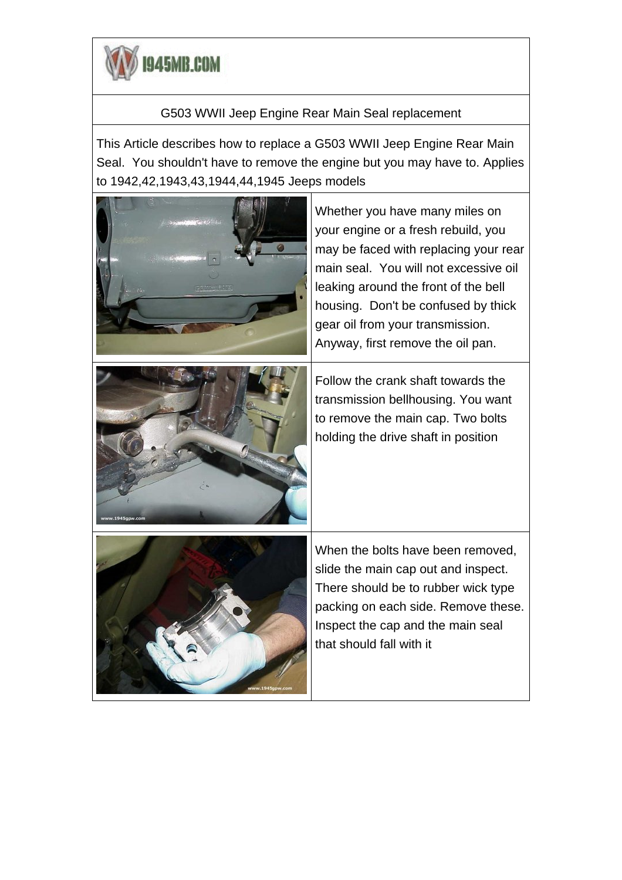

## G503 WWII Jeep Engine Rear Main Seal replacement

This Article describes how to replace a G503 WWII Jeep Engine Rear Main Seal. You shouldn't have to remove the engine but you may have to. Applies to 1942,42,1943,43,1944,44,1945 Jeeps models





Whether you have many miles on your engine or a fresh rebuild, you may be faced with replacing your rear main seal. You will not excessive oil leaking around the front of the bell housing. Don't be confused by thick gear oil from your transmission. Anyway, first remove the oil pan.

Follow the crank shaft towards the transmission bellhousing. You want to remove the main cap. Two bolts holding the drive shaft in position



When the bolts have been removed, slide the main cap out and inspect. There should be to rubber wick type packing on each side. Remove these. Inspect the cap and the main seal that should fall with it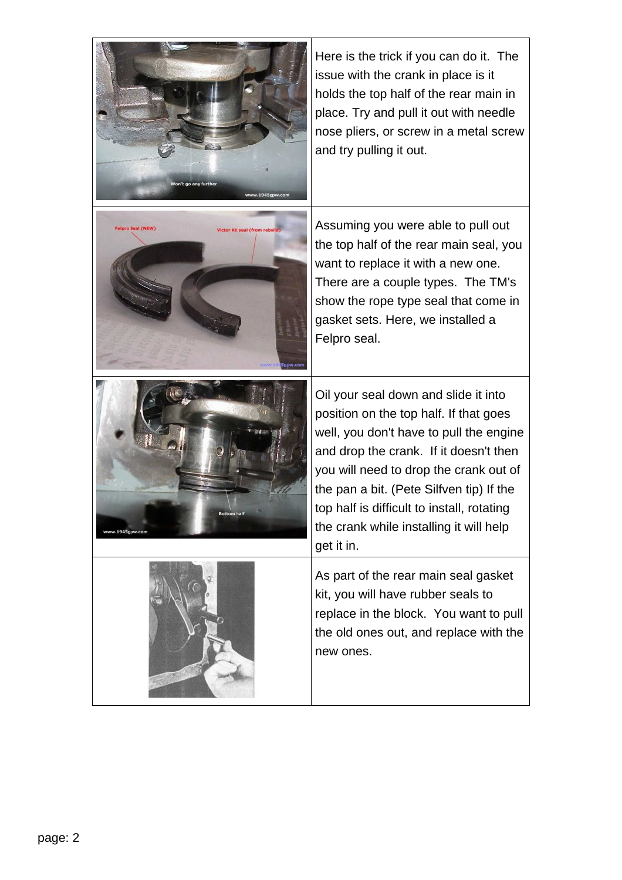| Von't go any further<br>www.1945gpw.com            | Here is the trick if you can do it. The<br>issue with the crank in place is it<br>holds the top half of the rear main in<br>place. Try and pull it out with needle<br>nose pliers, or screw in a metal screw<br>and try pulling it out.                                                                                                                          |
|----------------------------------------------------|------------------------------------------------------------------------------------------------------------------------------------------------------------------------------------------------------------------------------------------------------------------------------------------------------------------------------------------------------------------|
| Felpro Seal (NEW)<br>Victor Kit seal (from rebuild | Assuming you were able to pull out<br>the top half of the rear main seal, you<br>want to replace it with a new one.<br>There are a couple types. The TM's<br>show the rope type seal that come in<br>gasket sets. Here, we installed a<br>Felpro seal.                                                                                                           |
| <b>Bottom half</b><br>ww.1945gpw.cor               | Oil your seal down and slide it into<br>position on the top half. If that goes<br>well, you don't have to pull the engine<br>and drop the crank. If it doesn't then<br>you will need to drop the crank out of<br>the pan a bit. (Pete Silfven tip) If the<br>top half is difficult to install, rotating<br>the crank while installing it will help<br>get it in. |
|                                                    | As part of the rear main seal gasket<br>kit, you will have rubber seals to<br>replace in the block. You want to pull<br>the old ones out, and replace with the<br>new ones.                                                                                                                                                                                      |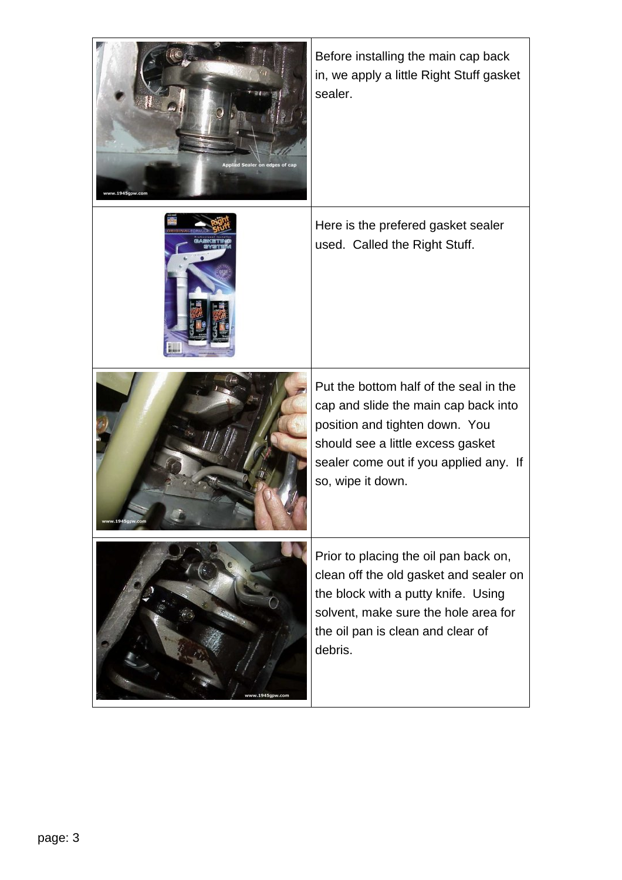| Sealer on edges<br>w.1945gpw.co | Before installing the main cap back<br>in, we apply a little Right Stuff gasket<br>sealer.                                                                                                                           |
|---------------------------------|----------------------------------------------------------------------------------------------------------------------------------------------------------------------------------------------------------------------|
|                                 | Here is the prefered gasket sealer<br>used. Called the Right Stuff.                                                                                                                                                  |
| vw.1945gpw.c                    | Put the bottom half of the seal in the<br>cap and slide the main cap back into<br>position and tighten down. You<br>should see a little excess gasket<br>sealer come out if you applied any. If<br>so, wipe it down. |
| v.1945gpw.cor                   | Prior to placing the oil pan back on,<br>clean off the old gasket and sealer on<br>the block with a putty knife. Using<br>solvent, make sure the hole area for<br>the oil pan is clean and clear of<br>debris.       |